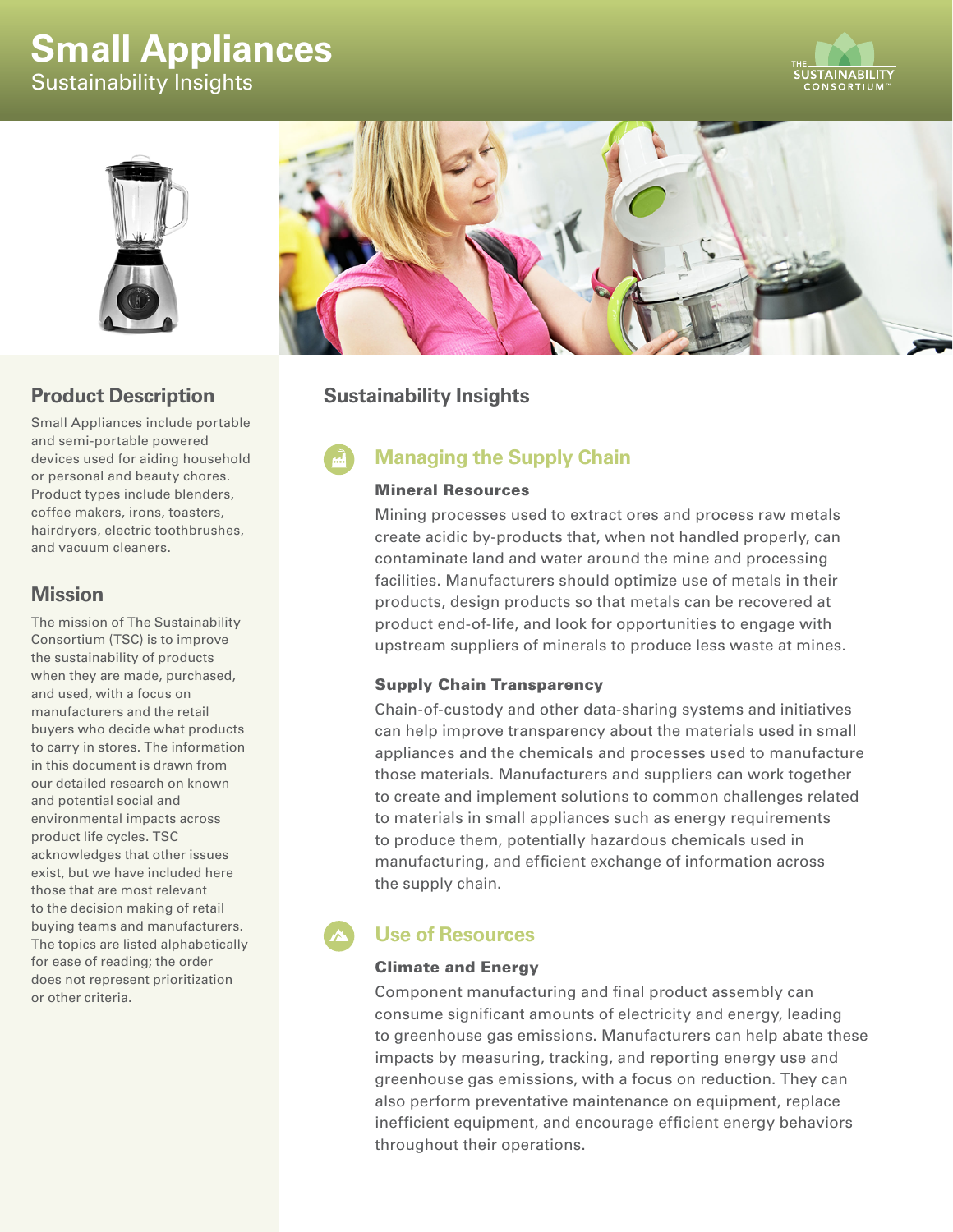# **Small Appliances**

Sustainability Insights





# **Product Description**

Small Appliances include portable and semi-portable powered devices used for aiding household or personal and beauty chores. Product types include blenders, coffee makers, irons, toasters, hairdryers, electric toothbrushes, and vacuum cleaners.

### **Mission**

The mission of The Sustainability Consortium (TSC) is to improve the sustainability of products when they are made, purchased, and used, with a focus on manufacturers and the retail buyers who decide what products to carry in stores. The information in this document is drawn from our detailed research on known and potential social and environmental impacts across product life cycles. TSC acknowledges that other issues exist, but we have included here those that are most relevant to the decision making of retail buying teams and manufacturers. The topics are listed alphabetically for ease of reading; the order does not represent prioritization or other criteria.



# **Sustainability Insights**

# **Managing the Supply Chain**

#### Mineral Resources

Mining processes used to extract ores and process raw metals create acidic by-products that, when not handled properly, can contaminate land and water around the mine and processing facilities. Manufacturers should optimize use of metals in their products, design products so that metals can be recovered at product end-of-life, and look for opportunities to engage with upstream suppliers of minerals to produce less waste at mines.

#### Supply Chain Transparency

Chain-of-custody and other data-sharing systems and initiatives can help improve transparency about the materials used in small appliances and the chemicals and processes used to manufacture those materials. Manufacturers and suppliers can work together to create and implement solutions to common challenges related to materials in small appliances such as energy requirements to produce them, potentially hazardous chemicals used in manufacturing, and efficient exchange of information across the supply chain.

# **Use of Resources**

#### Climate and Energy

Component manufacturing and final product assembly can consume significant amounts of electricity and energy, leading to greenhouse gas emissions. Manufacturers can help abate these impacts by measuring, tracking, and reporting energy use and greenhouse gas emissions, with a focus on reduction. They can also perform preventative maintenance on equipment, replace inefficient equipment, and encourage efficient energy behaviors throughout their operations.